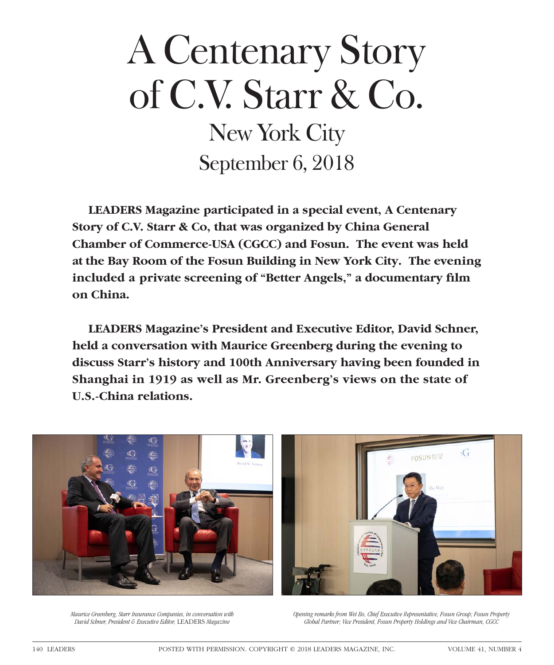## A Centenary Story of C.V. Starr & Co. New York City September 6, 2018

**LEADERS Magazine participated in a special event, A Centenary Story of C.V. Starr & Co, that was organized by China General Chamber of Commerce-USA (CGCC) and Fosun. The event was held at the Bay Room of the Fosun Building in New York City. The evening**  included a private screening of "Better Angels," a documentary film **on China.**

**LEADERS Magazine's President and Executive Editor, David Schner, held a conversation with Maurice Greenberg during the evening to discuss Starr's history and 100th Anniversary having been founded in Shanghai in 1919 as well as Mr. Greenberg's views on the state of U.S.-China relations.**





*Maurice Greenberg, Starr Insurance Companies, in conversation with David Schner, President & Executive Editor,* LEADERS *Magazine*

*Opening remarks from Wei Bo, Chief Executive Representative, Fosun Group; Fosun Property Global Partner; Vice President, Fosun Property Holdings and Vice Chairman, CGCC*